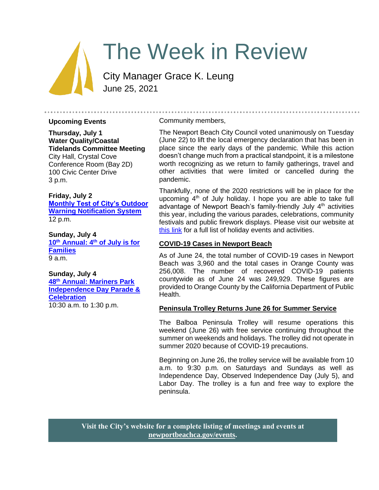# The Week in Review

City Manager Grace K. Leung June 25, 2021

#### **Upcoming Events**

## **Thursday, July 1 Water Quality/Coastal Tidelands Committee Meeting** City Hall, Crystal Cove

Conference Room (Bay 2D) 100 Civic Center Drive 3 p.m.

**Friday, July 2 [Monthly Test of City's Outdoor](https://www.newportbeachca.gov/Home/Components/Calendar/Event/66028/72?curm=7&cury=2021)  [Warning Notification System](https://www.newportbeachca.gov/Home/Components/Calendar/Event/66028/72?curm=7&cury=2021)** 12 p.m.

**Sunday, July 4 10th Annual: 4th [of July is for](https://www.newportbeachca.gov/Home/Components/Calendar/Event/66760/72?curm=7&cury=2021)  [Families](https://www.newportbeachca.gov/Home/Components/Calendar/Event/66760/72?curm=7&cury=2021)** 9 a.m.

# **Sunday, July 4**

**48th [Annual: Mariners Park](https://www.newportbeachca.gov/Home/Components/Calendar/Event/66760/72?curm=7&cury=2021)  [Independence Day Parade &](https://www.newportbeachca.gov/Home/Components/Calendar/Event/66760/72?curm=7&cury=2021)  [Celebration](https://www.newportbeachca.gov/Home/Components/Calendar/Event/66760/72?curm=7&cury=2021)** 10:30 a.m. to 1:30 p.m.

#### Community members,

The Newport Beach City Council voted unanimously on Tuesday (June 22) to lift the local emergency declaration that has been in place since the early days of the pandemic. While this action doesn't change much from a practical standpoint, it is a milestone worth recognizing as we return to family gatherings, travel and other activities that were limited or cancelled during the pandemic.

Thankfully, none of the 2020 restrictions will be in place for the upcoming  $4<sup>th</sup>$  of July holiday. I hope you are able to take full advantage of Newport Beach's family-friendly July 4<sup>th</sup> activities this year, including the various parades, celebrations, community festivals and public firework displays. Please visit our website at [this link](https://www.newportbeachca.gov/how-do-i-/learn-more-about/fourth-of-july-information/holiday-events-activities) for a full list of holiday events and activities.

#### **COVID-19 Cases in Newport Beach**

As of June 24, the total number of COVID-19 cases in Newport Beach was 3,960 and the total cases in Orange County was 256,008. The number of recovered COVID-19 patients countywide as of June 24 was 249,929. These figures are provided to Orange County by the California Department of Public Health.

#### **Peninsula Trolley Returns June 26 for Summer Service**

The Balboa Peninsula Trolley will resume operations this weekend (June 26) with free service continuing throughout the summer on weekends and holidays. The trolley did not operate in summer 2020 because of COVID-19 precautions.

Beginning on June 26, the trolley service will be available from 10 a.m. to 9:30 p.m. on Saturdays and Sundays as well as Independence Day, Observed Independence Day (July 5), and Labor Day. The trolley is a fun and free way to explore the peninsula.